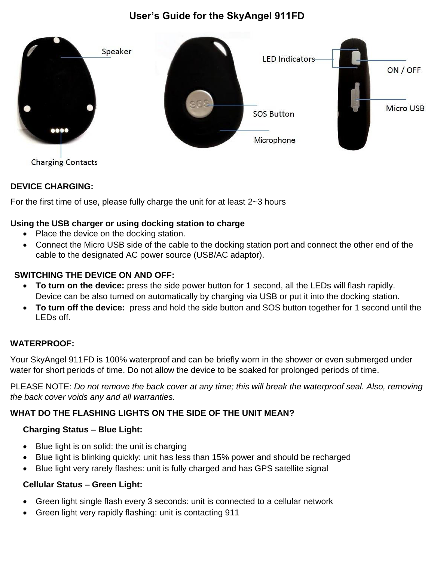# **User's Guide for the SkyAngel 911FD**



**Charging Contacts** 

# **DEVICE CHARGING:**

For the first time of use, please fully charge the unit for at least 2~3 hours

# **Using the USB charger or using docking station to charge**

- Place the device on the docking station.
- Connect the Micro USB side of the cable to the docking station port and connect the other end of the cable to the designated AC power source (USB/AC adaptor).

### **SWITCHING THE DEVICE ON AND OFF:**

- **To turn on the device:** press the side power button for 1 second, all the LEDs will flash rapidly. Device can be also turned on automatically by charging via USB or put it into the docking station.
- **To turn off the device:** press and hold the side button and SOS button together for 1 second until the LEDs off.

# **WATERPROOF:**

Your SkyAngel 911FD is 100% waterproof and can be briefly worn in the shower or even submerged under water for short periods of time. Do not allow the device to be soaked for prolonged periods of time.

PLEASE NOTE: *Do not remove the back cover at any time; this will break the waterproof seal. Also, removing the back cover voids any and all warranties.*

# **WHAT DO THE FLASHING LIGHTS ON THE SIDE OF THE UNIT MEAN?**

# **Charging Status – Blue Light:**

- Blue light is on solid: the unit is charging
- Blue light is blinking quickly: unit has less than 15% power and should be recharged
- Blue light very rarely flashes: unit is fully charged and has GPS satellite signal

### **Cellular Status – Green Light:**

- Green light single flash every 3 seconds: unit is connected to a cellular network
- Green light very rapidly flashing: unit is contacting 911